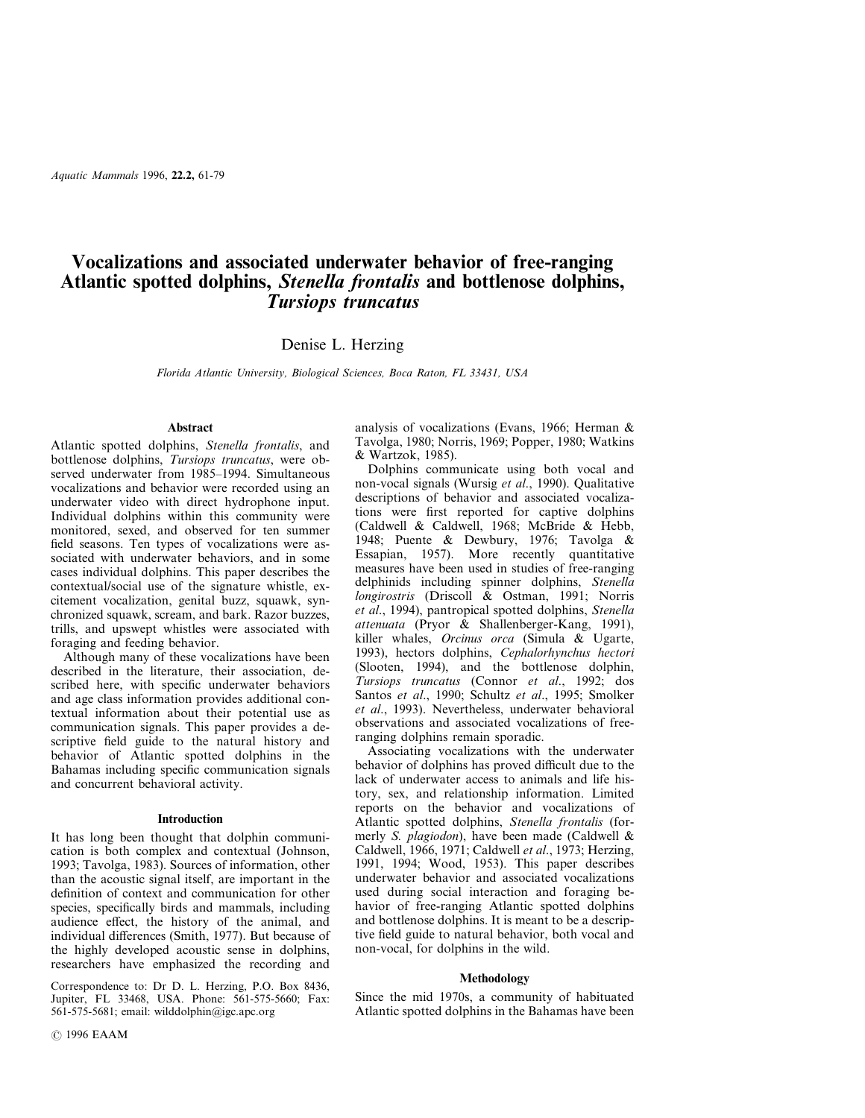*Aquatic Mammals* 1996, **22.2,** 61-79

# **Vocalizations and associated underwater behavior of free-ranging Atlantic spotted dolphins,** *Stenella frontalis* **and bottlenose dolphins,** *Tursiops truncatus*

Denise L. Herzing

*Florida Atlantic University, Biological Sciences, Boca Raton, FL 33431, USA*

# **Abstract**

Atlantic spotted dolphins, *Stenella frontalis*, and bottlenose dolphins, *Tursiops truncatus*, were observed underwater from 1985–1994. Simultaneous vocalizations and behavior were recorded using an underwater video with direct hydrophone input. Individual dolphins within this community were monitored, sexed, and observed for ten summer field seasons. Ten types of vocalizations were associated with underwater behaviors, and in some cases individual dolphins. This paper describes the contextual/social use of the signature whistle, excitement vocalization, genital buzz, squawk, synchronized squawk, scream, and bark. Razor buzzes, trills, and upswept whistles were associated with foraging and feeding behavior.

Although many of these vocalizations have been described in the literature, their association, described here, with specific underwater behaviors and age class information provides additional contextual information about their potential use as communication signals. This paper provides a descriptive field guide to the natural history and behavior of Atlantic spotted dolphins in the Bahamas including specific communication signals and concurrent behavioral activity.

#### **Introduction**

It has long been thought that dolphin communication is both complex and contextual (Johnson, 1993; Tavolga, 1983). Sources of information, other than the acoustic signal itself, are important in the definition of context and communication for other species, specifically birds and mammals, including audience effect, the history of the animal, and individual differences (Smith, 1977). But because of the highly developed acoustic sense in dolphins, researchers have emphasized the recording and

Correspondence to: Dr D. L. Herzing, P.O. Box 8436, Jupiter, FL 33468, USA. Phone: 561-575-5660; Fax: 561-575-5681; email: wilddolphin@igc.apc.org

analysis of vocalizations (Evans, 1966; Herman & Tavolga, 1980; Norris, 1969; Popper, 1980; Watkins & Wartzok, 1985).

Dolphins communicate using both vocal and non-vocal signals (Wursig *et al*., 1990). Qualitative descriptions of behavior and associated vocalizations were first reported for captive dolphins (Caldwell & Caldwell, 1968; McBride & Hebb, 1948; Puente & Dewbury, 1976; Tavolga & Essapian, 1957). More recently quantitative measures have been used in studies of free-ranging delphinids including spinner dolphins, *Stenella longirostris* (Driscoll & Ostman, 1991; Norris *et al*., 1994), pantropical spotted dolphins, *Stenella attenuata* (Pryor & Shallenberger-Kang, 1991), killer whales, *Orcinus orca* (Simula & Ugarte, 1993), hectors dolphins, *Cephalorhynchus hectori* (Slooten, 1994), and the bottlenose dolphin, *Tursiops truncatus* (Connor *et al*., 1992; dos Santos *et al*., 1990; Schultz *et al*., 1995; Smolker *et al*., 1993). Nevertheless, underwater behavioral observations and associated vocalizations of freeranging dolphins remain sporadic.

Associating vocalizations with the underwater behavior of dolphins has proved difficult due to the lack of underwater access to animals and life history, sex, and relationship information. Limited reports on the behavior and vocalizations of Atlantic spotted dolphins, *Stenella frontalis* (formerly *S. plagiodon*), have been made (Caldwell & Caldwell, 1966, 1971; Caldwell *et al*., 1973; Herzing, 1991, 1994; Wood, 1953). This paper describes underwater behavior and associated vocalizations used during social interaction and foraging behavior of free-ranging Atlantic spotted dolphins and bottlenose dolphins. It is meant to be a descriptive field guide to natural behavior, both vocal and non-vocal, for dolphins in the wild.

# **Methodology**

Since the mid 1970s, a community of habituated Atlantic spotted dolphins in the Bahamas have been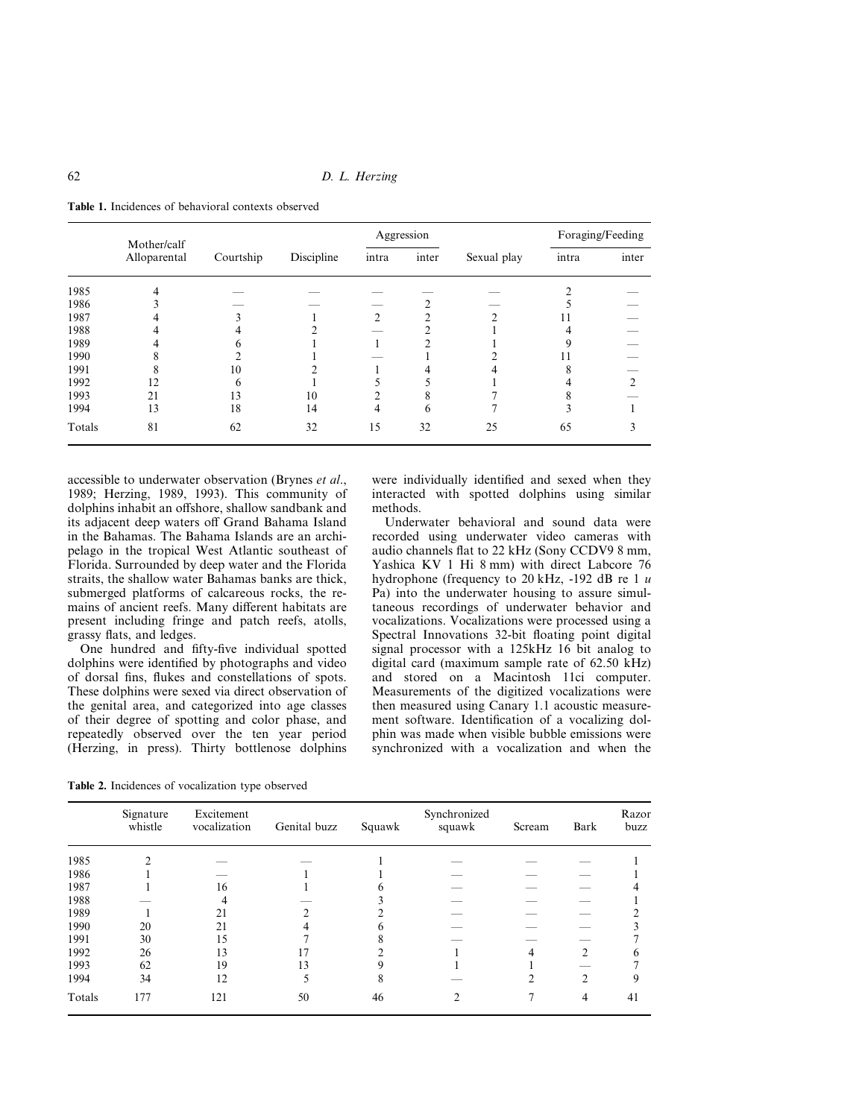| 62 |  | D. L. Herzing |
|----|--|---------------|
|----|--|---------------|

**Table 1.** Incidences of behavioral contexts observed

|        | Mother/calf  |           |            | Aggression |       |             | Foraging/Feeding |               |
|--------|--------------|-----------|------------|------------|-------|-------------|------------------|---------------|
|        | Alloparental | Courtship | Discipline | intra      | inter | Sexual play | intra            | inter         |
| 1985   |              |           |            |            |       |             |                  |               |
| 1986   |              |           |            |            |       |             |                  |               |
| 1987   |              |           |            | っ          |       |             |                  |               |
| 1988   |              |           |            |            |       |             |                  |               |
| 1989   |              | n         |            |            |       |             |                  |               |
| 1990   |              |           |            |            |       |             |                  |               |
| 1991   |              | 10        |            |            |       |             |                  |               |
| 1992   | 12           | 6         |            |            |       |             |                  | $\mathcal{D}$ |
| 1993   | 21           | 13        | 10         |            | Δ     |             |                  |               |
| 1994   | 13           | 18        | 14         | 4          | 6     |             |                  |               |
| Totals | 81           | 62        | 32         | 15         | 32    | 25          | 65               |               |

accessible to underwater observation (Brynes *et al*., 1989; Herzing, 1989, 1993). This community of dolphins inhabit an offshore, shallow sandbank and its adjacent deep waters off Grand Bahama Island in the Bahamas. The Bahama Islands are an archipelago in the tropical West Atlantic southeast of Florida. Surrounded by deep water and the Florida straits, the shallow water Bahamas banks are thick, submerged platforms of calcareous rocks, the remains of ancient reefs. Many different habitats are present including fringe and patch reefs, atolls, grassy flats, and ledges.

One hundred and fifty-five individual spotted dolphins were identified by photographs and video of dorsal fins, flukes and constellations of spots. These dolphins were sexed via direct observation of the genital area, and categorized into age classes of their degree of spotting and color phase, and repeatedly observed over the ten year period (Herzing, in press). Thirty bottlenose dolphins were individually identified and sexed when they interacted with spotted dolphins using similar methods.

Underwater behavioral and sound data were recorded using underwater video cameras with audio channels flat to 22 kHz (Sony CCDV9 8 mm, Yashica KV 1 Hi 8 mm) with direct Labcore 76 hydrophone (frequency to 20 kHz, -192 dB re 1 *u* Pa) into the underwater housing to assure simultaneous recordings of underwater behavior and vocalizations. Vocalizations were processed using a Spectral Innovations 32-bit floating point digital signal processor with a 125kHz 16 bit analog to digital card (maximum sample rate of 62.50 kHz) and stored on a Macintosh 11ci computer. Measurements of the digitized vocalizations were then measured using Canary 1.1 acoustic measurement software. Identification of a vocalizing dolphin was made when visible bubble emissions were synchronized with a vocalization and when the

**Table 2.** Incidences of vocalization type observed

|        | Signature<br>whistle | Excitement<br>vocalization | Genital buzz | Squawk       | Synchronized<br>squawk | Scream | Bark           | Razor<br>buzz |
|--------|----------------------|----------------------------|--------------|--------------|------------------------|--------|----------------|---------------|
| 1985   | $\mathcal{D}$        |                            |              |              |                        |        |                |               |
| 1986   |                      |                            |              |              |                        |        |                |               |
| 1987   |                      | 16                         |              |              |                        |        |                |               |
| 1988   |                      | 4                          |              |              |                        |        |                |               |
| 1989   |                      | 21                         |              |              |                        |        |                |               |
| 1990   | 20                   | 21                         |              | <sub>6</sub> |                        |        |                |               |
| 1991   | 30                   | 15                         |              |              |                        |        |                |               |
| 1992   | 26                   | 13                         | 17           |              |                        | 4      | $\overline{2}$ | 6             |
| 1993   | 62                   | 19                         | 13           |              |                        |        |                |               |
| 1994   | 34                   | 12                         |              | 8            |                        | 2      | $\overline{2}$ |               |
| Totals | 177                  | 121                        | 50           | 46           |                        |        | 4              | 41            |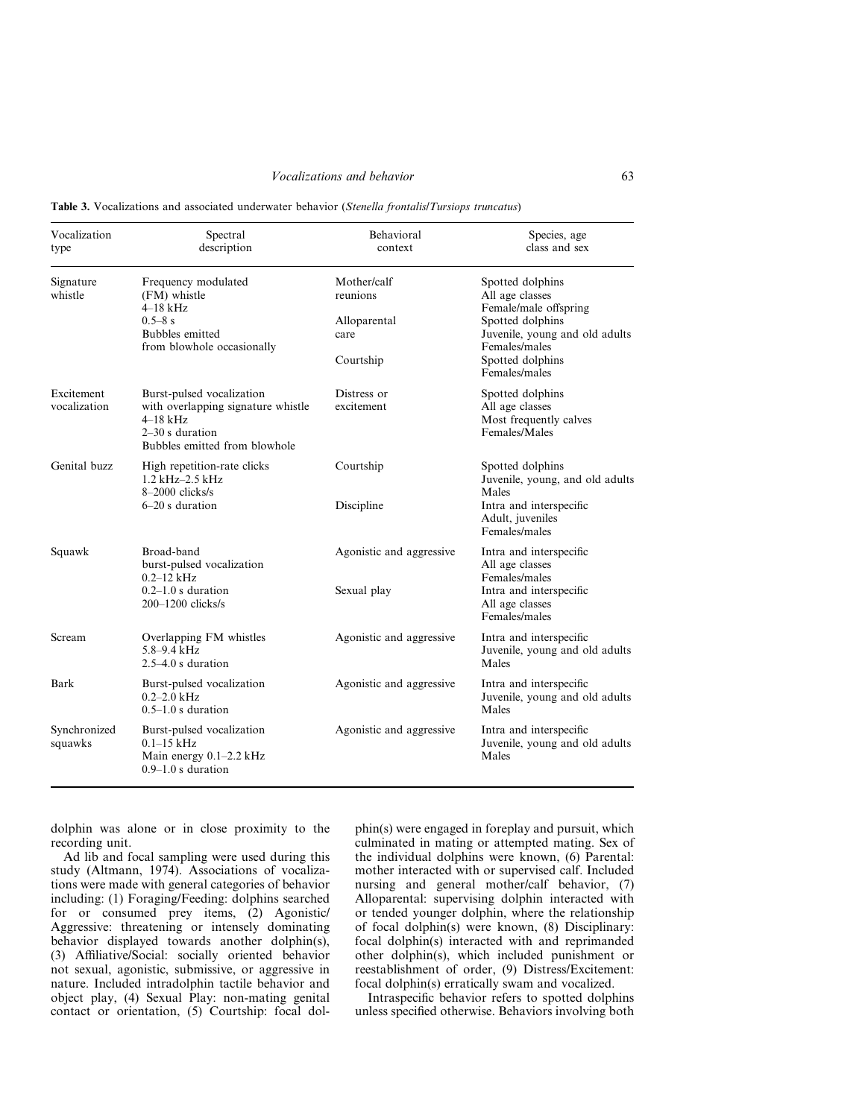#### **Table 3.** Vocalizations and associated underwater behavior (*Stenella frontalis*/*Tursiops truncatus*)

| Vocalization<br>type       | Spectral<br>description                                                                                                             | Behavioral<br>context                                        | Species, age<br>class and sex                                                                                                                                            |
|----------------------------|-------------------------------------------------------------------------------------------------------------------------------------|--------------------------------------------------------------|--------------------------------------------------------------------------------------------------------------------------------------------------------------------------|
| Signature<br>whistle       | Frequency modulated<br>(FM) whistle<br>$4-18$ kHz<br>$0.5 - 8s$<br>Bubbles emitted<br>from blowhole occasionally                    | Mother/calf<br>reunions<br>Alloparental<br>care<br>Courtship | Spotted dolphins<br>All age classes<br>Female/male offspring<br>Spotted dolphins<br>Juvenile, young and old adults<br>Females/males<br>Spotted dolphins<br>Females/males |
| Excitement<br>vocalization | Burst-pulsed vocalization<br>with overlapping signature whistle<br>$4-18$ kHz<br>$2-30$ s duration<br>Bubbles emitted from blowhole | Distress or<br>excitement                                    | Spotted dolphins<br>All age classes<br>Most frequently calves<br>Females/Males                                                                                           |
| Genital buzz               | High repetition-rate clicks<br>$1.2$ kHz- $2.5$ kHz<br>$8-2000$ clicks/s<br>$6-20$ s duration                                       | Courtship<br>Discipline                                      | Spotted dolphins<br>Juvenile, young, and old adults<br>Males<br>Intra and interspecific<br>Adult, juveniles<br>Females/males                                             |
| Squawk                     | Broad-band<br>burst-pulsed vocalization<br>$0.2 - 12$ kHz<br>$0.2-1.0$ s duration<br>200–1200 clicks/s                              | Agonistic and aggressive<br>Sexual play                      | Intra and interspecific<br>All age classes<br>Females/males<br>Intra and interspecific<br>All age classes<br>Females/males                                               |
| Scream                     | Overlapping FM whistles<br>$5.8 - 9.4$ kHz<br>$2.5 - 4.0$ s duration                                                                | Agonistic and aggressive                                     | Intra and interspecific<br>Juvenile, young and old adults<br>Males                                                                                                       |
| Bark                       | Burst-pulsed vocalization<br>$0.2 - 2.0$ kHz<br>$0.5-1.0$ s duration                                                                | Agonistic and aggressive                                     | Intra and interspecific<br>Juvenile, young and old adults<br>Males                                                                                                       |
| Synchronized<br>squawks    | Burst-pulsed vocalization<br>$0.1 - 15$ kHz<br>Main energy 0.1-2.2 kHz<br>$0.9-1.0$ s duration                                      | Agonistic and aggressive                                     | Intra and interspecific<br>Juvenile, young and old adults<br>Males                                                                                                       |

dolphin was alone or in close proximity to the recording unit.

Ad lib and focal sampling were used during this study (Altmann, 1974). Associations of vocalizations were made with general categories of behavior including: (1) Foraging/Feeding: dolphins searched for or consumed prey items, (2) Agonistic/ Aggressive: threatening or intensely dominating behavior displayed towards another dolphin(s), (3) Affiliative/Social: socially oriented behavior not sexual, agonistic, submissive, or aggressive in nature. Included intradolphin tactile behavior and object play, (4) Sexual Play: non-mating genital contact or orientation, (5) Courtship: focal dolphin(s) were engaged in foreplay and pursuit, which culminated in mating or attempted mating. Sex of the individual dolphins were known, (6) Parental: mother interacted with or supervised calf. Included nursing and general mother/calf behavior, (7) Alloparental: supervising dolphin interacted with or tended younger dolphin, where the relationship of focal dolphin(s) were known, (8) Disciplinary: focal dolphin(s) interacted with and reprimanded other dolphin(s), which included punishment or reestablishment of order, (9) Distress/Excitement: focal dolphin(s) erratically swam and vocalized.

Intraspecific behavior refers to spotted dolphins unless specified otherwise. Behaviors involving both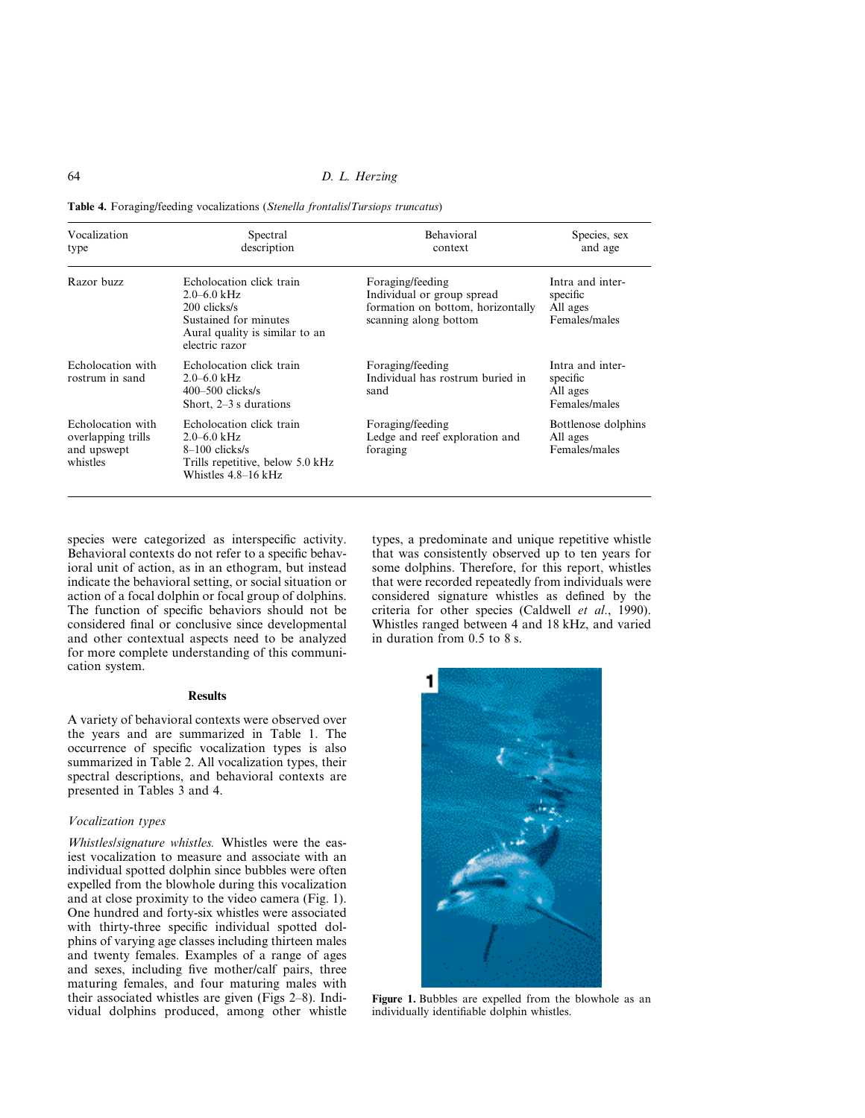| Table 4. Foraging/feeding vocalizations (Stenella frontalis/Tursiops truncatus) |  |
|---------------------------------------------------------------------------------|--|
|---------------------------------------------------------------------------------|--|

| Vocalization<br>type                                               | Spectral<br>description                                                                                                                  | <b>Behavioral</b><br>context                                                                                 | Species, sex<br>and age                                   |
|--------------------------------------------------------------------|------------------------------------------------------------------------------------------------------------------------------------------|--------------------------------------------------------------------------------------------------------------|-----------------------------------------------------------|
| Razor buzz                                                         | Echolocation click train<br>$2.0 - 6.0$ kHz<br>200 clicks/s<br>Sustained for minutes<br>Aural quality is similar to an<br>electric razor | Foraging/feeding<br>Individual or group spread<br>formation on bottom, horizontally<br>scanning along bottom | Intra and inter-<br>specific<br>All ages<br>Females/males |
| Echolocation with<br>rostrum in sand                               | Echolocation click train<br>$2.0 - 6.0$ kHz<br>$400 - 500$ clicks/s<br>Short, $2-3$ s durations                                          | Foraging/feeding<br>Individual has rostrum buried in<br>sand                                                 | Intra and inter-<br>specific<br>All ages<br>Females/males |
| Echolocation with<br>overlapping trills<br>and upswept<br>whistles | Echolocation click train<br>$2.0 - 6.0$ kHz<br>$8-100$ clicks/s<br>Trills repetitive, below 5.0 kHz<br>Whistles 4.8–16 kHz               | Foraging/feeding<br>Ledge and reef exploration and<br>foraging                                               | Bottlenose dolphins<br>All ages<br>Females/males          |

species were categorized as interspecific activity. Behavioral contexts do not refer to a specific behavioral unit of action, as in an ethogram, but instead indicate the behavioral setting, or social situation or action of a focal dolphin or focal group of dolphins. The function of specific behaviors should not be considered final or conclusive since developmental and other contextual aspects need to be analyzed for more complete understanding of this communication system.

# **Results**

A variety of behavioral contexts were observed over the years and are summarized in Table 1. The occurrence of specific vocalization types is also summarized in Table 2. All vocalization types, their spectral descriptions, and behavioral contexts are presented in Tables 3 and 4.

#### *Vocalization types*

*Whistles/signature whistles.* Whistles were the easiest vocalization to measure and associate with an individual spotted dolphin since bubbles were often expelled from the blowhole during this vocalization and at close proximity to the video camera (Fig. 1). One hundred and forty-six whistles were associated with thirty-three specific individual spotted dolphins of varying age classes including thirteen males and twenty females. Examples of a range of ages and sexes, including five mother/calf pairs, three maturing females, and four maturing males with their associated whistles are given (Figs 2–8). Individual dolphins produced, among other whistle

types, a predominate and unique repetitive whistle that was consistently observed up to ten years for some dolphins. Therefore, for this report, whistles that were recorded repeatedly from individuals were considered signature whistles as defined by the criteria for other species (Caldwell *et al*., 1990). Whistles ranged between 4 and 18 kHz, and varied in duration from 0.5 to 8 s.



**Figure 1.** Bubbles are expelled from the blowhole as an individually identifiable dolphin whistles.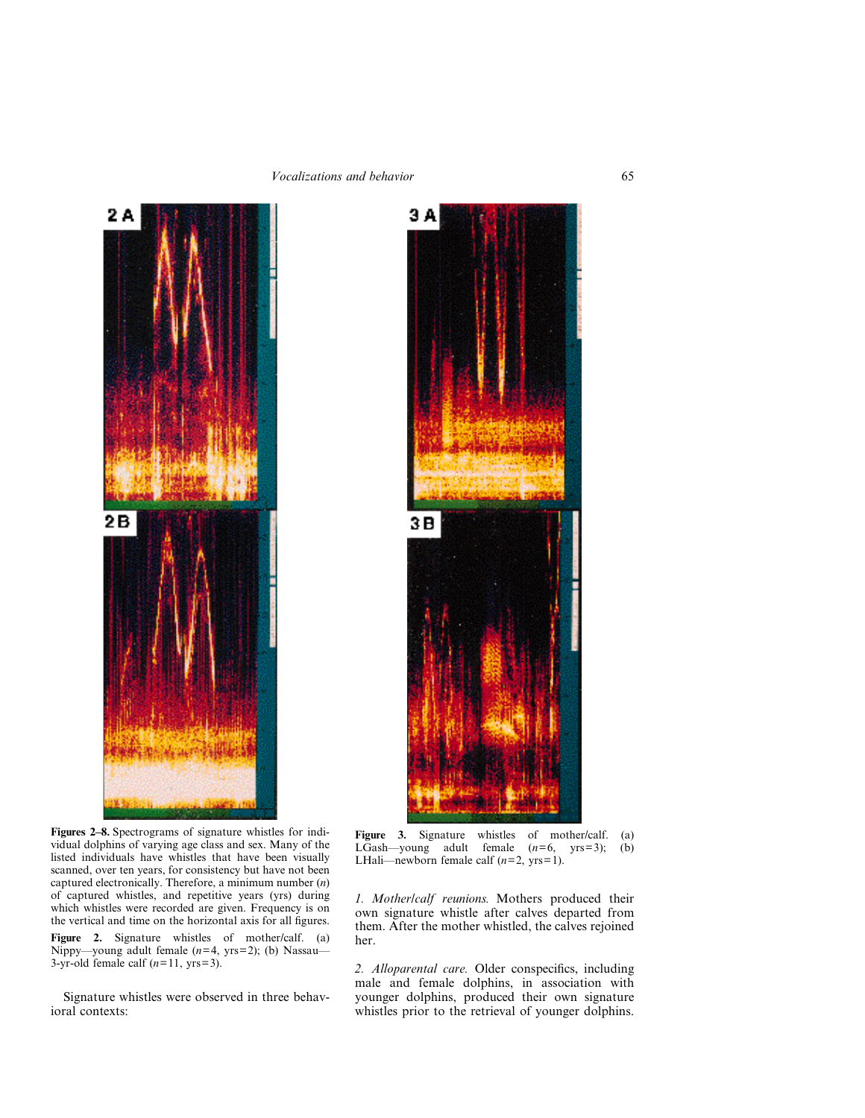



**Figures 2–8.** Spectrograms of signature whistles for individual dolphins of varying age class and sex. Many of the listed individuals have whistles that have been visually scanned, over ten years, for consistency but have not been captured electronically. Therefore, a minimum number (*n*) of captured whistles, and repetitive years (yrs) during which whistles were recorded are given. Frequency is on the vertical and time on the horizontal axis for all figures. **Figure 2.** Signature whistles of mother/calf. (a) Nippy—young adult female (*n*=4, yrs=2); (b) Nassau—  $3-yr-old$  female calf  $(n=11, yrs=3)$ .

Signature whistles were observed in three behavioral contexts:

**Figure 3.** Signature whistles of mother/calf. (a) LGash—young adult female  $(n=6, \text{yrs}=3)$ ; (b) LHali—newborn female calf (*n*=2, yrs=1).

*1. Mother/calf reunions.* Mothers produced their own signature whistle after calves departed from them. After the mother whistled, the calves rejoined her.

*2. Alloparental care.* Older conspecifics, including male and female dolphins, in association with younger dolphins, produced their own signature whistles prior to the retrieval of younger dolphins.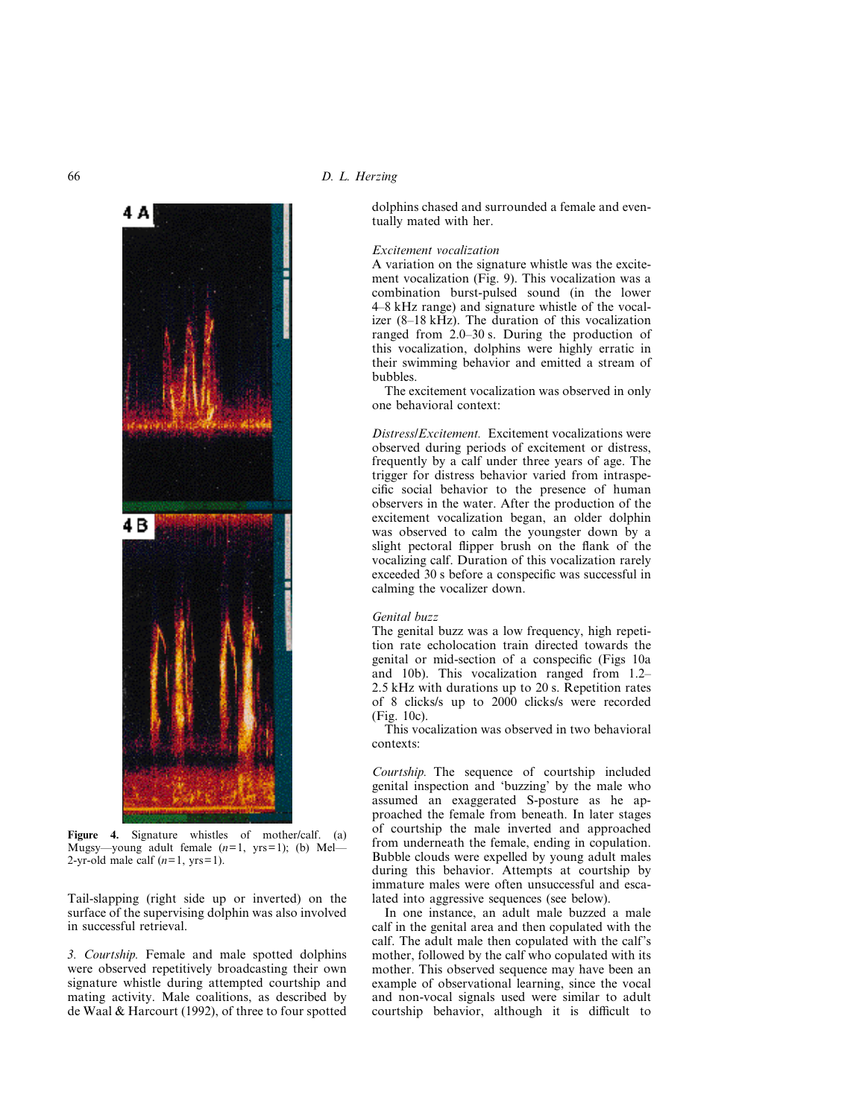dolphins chased and surrounded a female and eventually mated with her.

# *Excitement vocalization*

A variation on the signature whistle was the excitement vocalization (Fig. 9). This vocalization was a combination burst-pulsed sound (in the lower 4–8 kHz range) and signature whistle of the vocalizer (8–18 kHz). The duration of this vocalization ranged from 2.0–30 s. During the production of this vocalization, dolphins were highly erratic in their swimming behavior and emitted a stream of bubbles.

The excitement vocalization was observed in only one behavioral context:

*Distress/Excitement.* Excitement vocalizations were observed during periods of excitement or distress, frequently by a calf under three years of age. The trigger for distress behavior varied from intraspecific social behavior to the presence of human observers in the water. After the production of the excitement vocalization began, an older dolphin was observed to calm the youngster down by a slight pectoral flipper brush on the flank of the vocalizing calf. Duration of this vocalization rarely exceeded 30 s before a conspecific was successful in calming the vocalizer down.

#### *Genital buzz*

The genital buzz was a low frequency, high repetition rate echolocation train directed towards the genital or mid-section of a conspecific (Figs 10a and 10b). This vocalization ranged from 1.2– 2.5 kHz with durations up to 20 s. Repetition rates of 8 clicks/s up to 2000 clicks/s were recorded (Fig. 10c).

This vocalization was observed in two behavioral contexts:

*Courtship.* The sequence of courtship included genital inspection and 'buzzing' by the male who assumed an exaggerated S-posture as he approached the female from beneath. In later stages of courtship the male inverted and approached from underneath the female, ending in copulation. Bubble clouds were expelled by young adult males during this behavior. Attempts at courtship by immature males were often unsuccessful and escalated into aggressive sequences (see below).

In one instance, an adult male buzzed a male calf in the genital area and then copulated with the calf. The adult male then copulated with the calf's mother, followed by the calf who copulated with its mother. This observed sequence may have been an example of observational learning, since the vocal and non-vocal signals used were similar to adult courtship behavior, although it is difficult to

**Figure 4.** Signature whistles of mother/calf. (a) Mugsy—young adult female (*n*=1, yrs=1); (b) Mel— 2-yr-old male calf  $(n=1, yrs=1)$ .

Tail-slapping (right side up or inverted) on the surface of the supervising dolphin was also involved in successful retrieval.

*3. Courtship.* Female and male spotted dolphins were observed repetitively broadcasting their own signature whistle during attempted courtship and mating activity. Male coalitions, as described by de Waal & Harcourt (1992), of three to four spotted

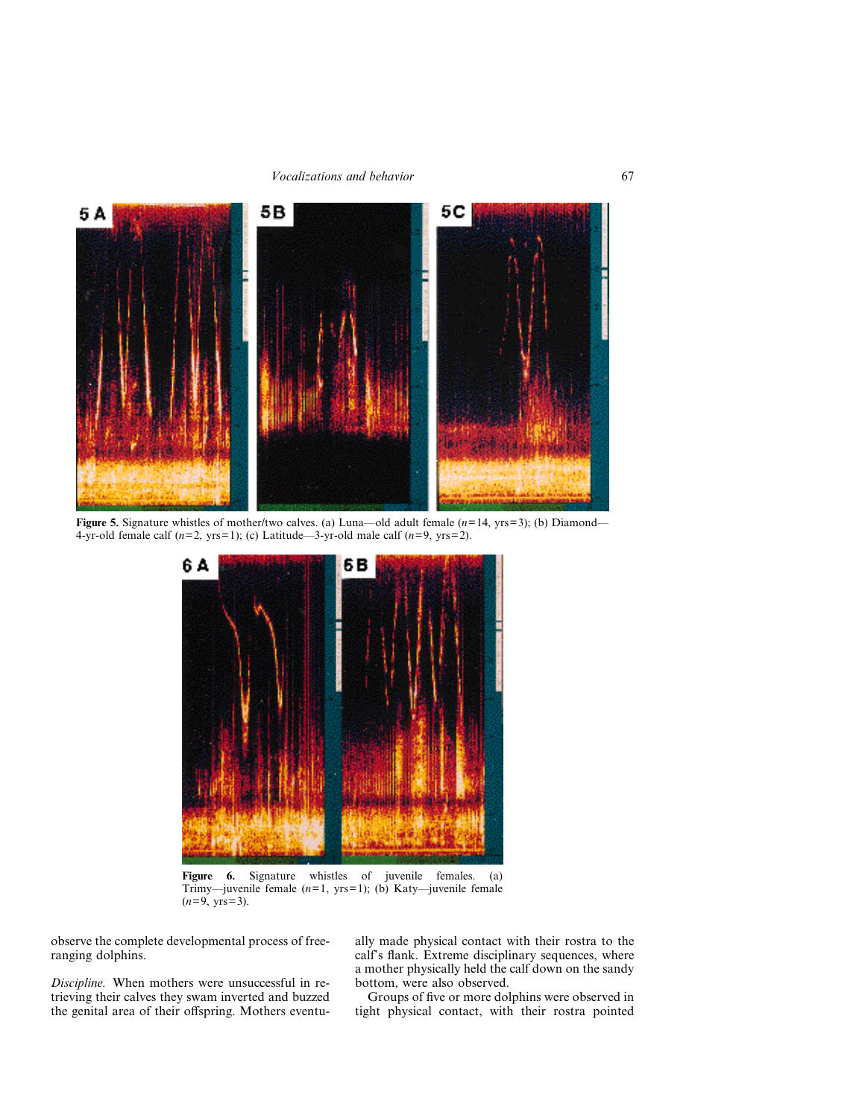

**Figure 5.** Signature whistles of mother/two calves. (a) Luna—old adult female ( $n=14$ , yrs=3); (b) Diamond— 4-yr-old female calf (*n*=2, yrs=1); (c) Latitude—3-yr-old male calf (*n*=9, yrs=2).



**Figure 6.** Signature whistles of juvenile females. (a) Trimy—juvenile female (*n*=1, yrs=1); (b) Katy—juvenile female  $(n=9, yrs=3)$ .

observe the complete developmental process of freeranging dolphins.

*Discipline.* When mothers were unsuccessful in retrieving their calves they swam inverted and buzzed the genital area of their offspring. Mothers eventually made physical contact with their rostra to the calf's flank. Extreme disciplinary sequences, where a mother physically held the calf down on the sandy bottom, were also observed.

Groups of five or more dolphins were observed in tight physical contact, with their rostra pointed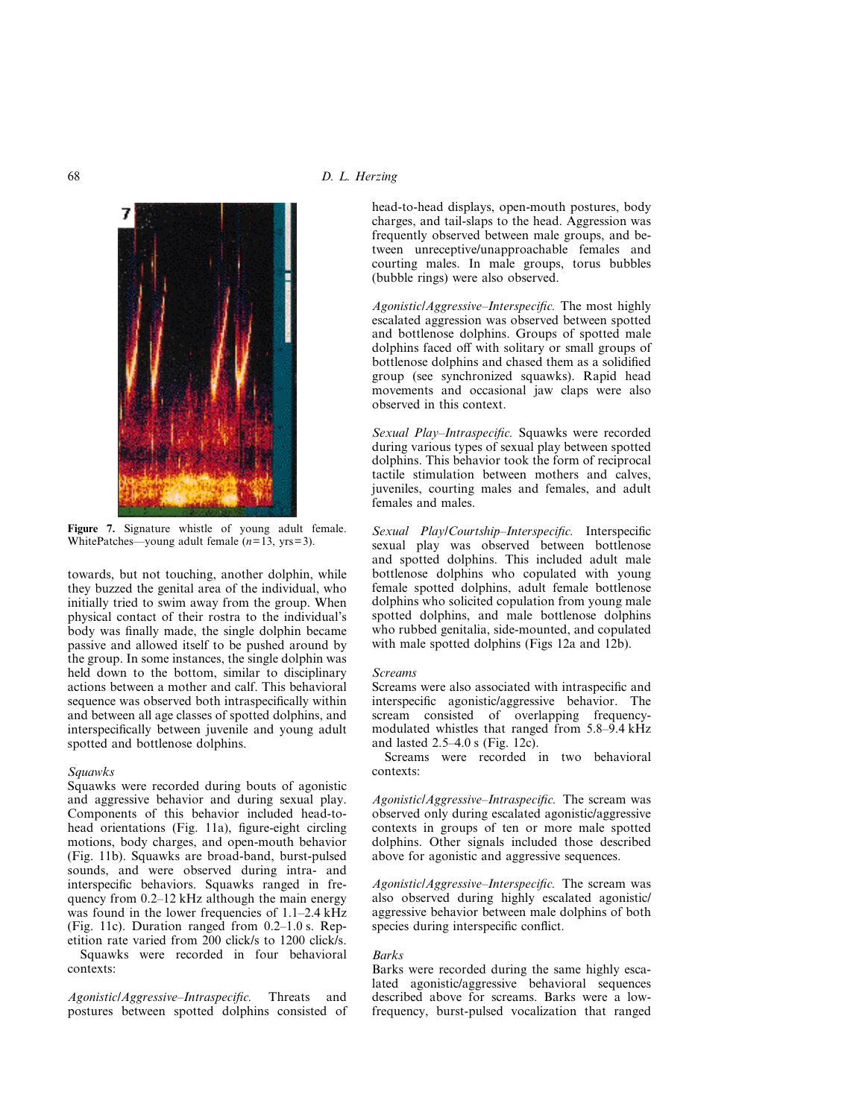

**Figure 7.** Signature whistle of young adult female. WhitePatches—young adult female (*n*=13, yrs=3).

towards, but not touching, another dolphin, while they buzzed the genital area of the individual, who initially tried to swim away from the group. When physical contact of their rostra to the individual's body was finally made, the single dolphin became passive and allowed itself to be pushed around by the group. In some instances, the single dolphin was held down to the bottom, similar to disciplinary actions between a mother and calf. This behavioral sequence was observed both intraspecifically within and between all age classes of spotted dolphins, and interspecifically between juvenile and young adult spotted and bottlenose dolphins.

#### *Squawks*

Squawks were recorded during bouts of agonistic and aggressive behavior and during sexual play. Components of this behavior included head-tohead orientations (Fig. 11a), figure-eight circling motions, body charges, and open-mouth behavior (Fig. 11b). Squawks are broad-band, burst-pulsed sounds, and were observed during intra- and interspecific behaviors. Squawks ranged in frequency from 0.2–12 kHz although the main energy was found in the lower frequencies of  $1.1-2.4$  kHz (Fig. 11c). Duration ranged from 0.2–1.0 s. Repetition rate varied from 200 click/s to 1200 click/s. Squawks were recorded in four behavioral contexts:

*Agonistic/Aggressive–Intraspecific.* Threats and postures between spotted dolphins consisted of head-to-head displays, open-mouth postures, body charges, and tail-slaps to the head. Aggression was frequently observed between male groups, and between unreceptive/unapproachable females and courting males. In male groups, torus bubbles (bubble rings) were also observed.

*Agonistic/Aggressive–Interspecific.* The most highly escalated aggression was observed between spotted and bottlenose dolphins. Groups of spotted male dolphins faced off with solitary or small groups of bottlenose dolphins and chased them as a solidified group (see synchronized squawks). Rapid head movements and occasional jaw claps were also observed in this context.

*Sexual Play–Intraspecific.* Squawks were recorded during various types of sexual play between spotted dolphins. This behavior took the form of reciprocal tactile stimulation between mothers and calves, juveniles, courting males and females, and adult females and males.

*Sexual Play/Courtship–Interspecific.* Interspecific sexual play was observed between bottlenose and spotted dolphins. This included adult male bottlenose dolphins who copulated with young female spotted dolphins, adult female bottlenose dolphins who solicited copulation from young male spotted dolphins, and male bottlenose dolphins who rubbed genitalia, side-mounted, and copulated with male spotted dolphins (Figs 12a and 12b).

#### *Screams*

Screams were also associated with intraspecific and interspecific agonistic/aggressive behavior. The scream consisted of overlapping frequencymodulated whistles that ranged from 5.8–9.4 kHz and lasted 2.5–4.0 s (Fig. 12c).

Screams were recorded in two behavioral contexts:

*Agonistic/Aggressive–Intraspecific.* The scream was observed only during escalated agonistic/aggressive contexts in groups of ten or more male spotted dolphins. Other signals included those described above for agonistic and aggressive sequences.

*Agonistic/Aggressive–Interspecific.* The scream was also observed during highly escalated agonistic/ aggressive behavior between male dolphins of both species during interspecific conflict.

#### *Barks*

Barks were recorded during the same highly escalated agonistic/aggressive behavioral sequences described above for screams. Barks were a lowfrequency, burst-pulsed vocalization that ranged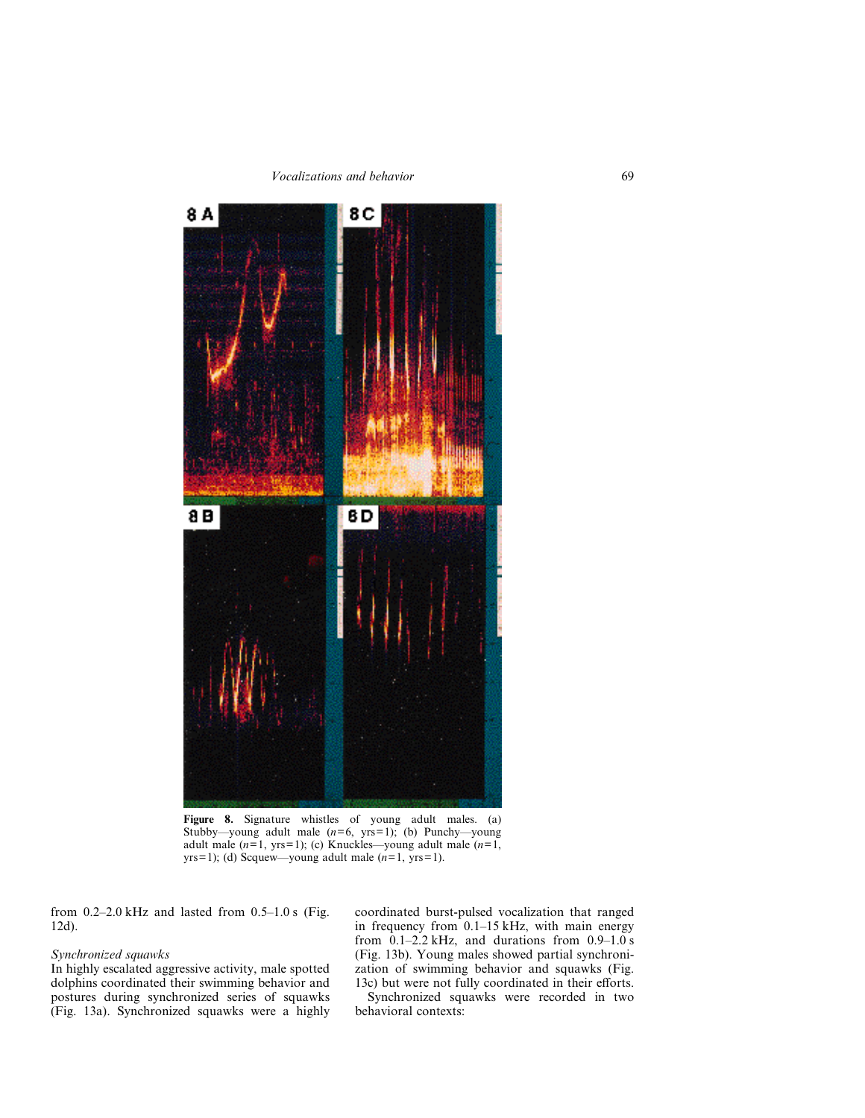

**Figure 8.** Signature whistles of young adult males. (a) Stubby—young adult male (*n*=6, yrs=1); (b) Punchy—young adult male (*n*=1, yrs=1); (c) Knuckles—young adult male (*n*=1, yrs=1); (d) Scquew—young adult male  $(n=1, yrs=1)$ .

from  $0.2-2.0$  kHz and lasted from  $0.5-1.0$  s (Fig. 12d).

# *Synchronized squawks*

In highly escalated aggressive activity, male spotted dolphins coordinated their swimming behavior and postures during synchronized series of squawks (Fig. 13a). Synchronized squawks were a highly

coordinated burst-pulsed vocalization that ranged in frequency from 0.1–15 kHz, with main energy from  $0.1-2.2$  kHz, and durations from  $0.9-1.0$  s (Fig. 13b). Young males showed partial synchronization of swimming behavior and squawks (Fig. 13c) but were not fully coordinated in their efforts.

Synchronized squawks were recorded in two behavioral contexts: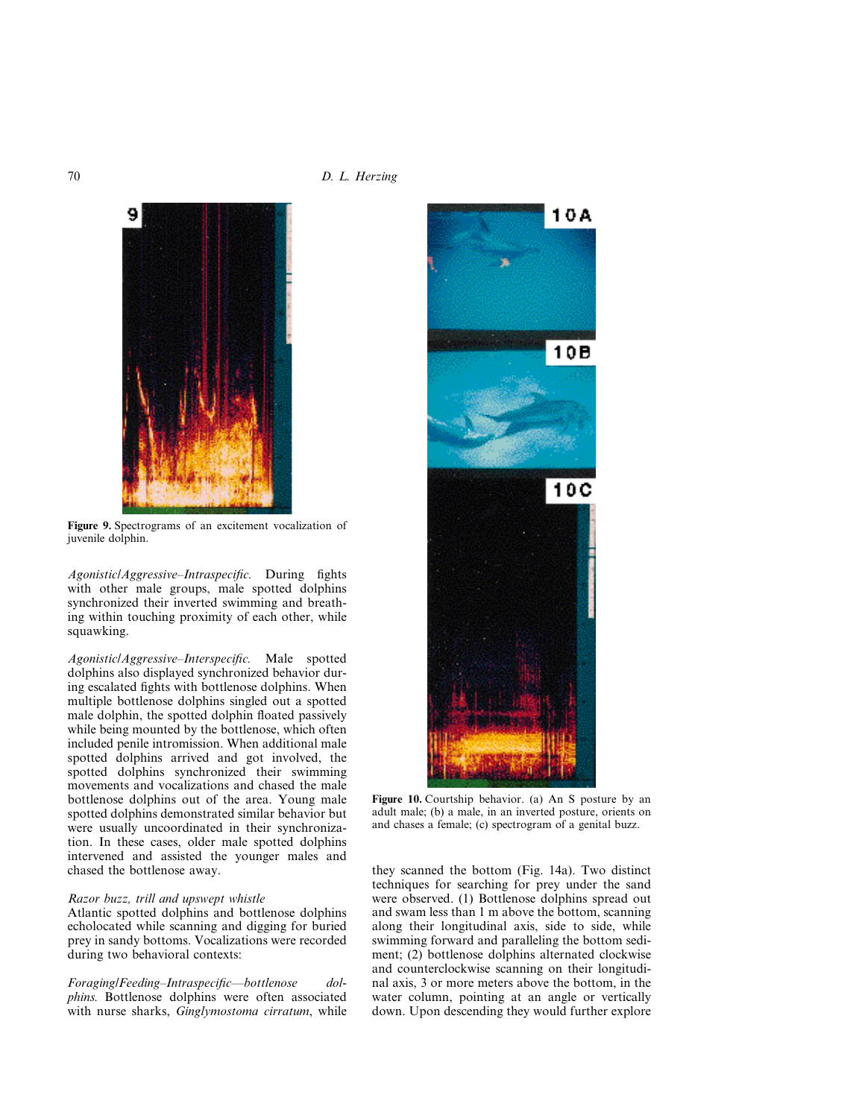

**Figure 9.** Spectrograms of an excitement vocalization of juvenile dolphin.

*Agonistic/Aggressive–Intraspecific.* During fights with other male groups, male spotted dolphins synchronized their inverted swimming and breathing within touching proximity of each other, while squawking.

*Agonistic/Aggressive–Interspecific.* Male spotted dolphins also displayed synchronized behavior during escalated fights with bottlenose dolphins. When multiple bottlenose dolphins singled out a spotted male dolphin, the spotted dolphin floated passively while being mounted by the bottlenose, which often included penile intromission. When additional male spotted dolphins arrived and got involved, the spotted dolphins synchronized their swimming movements and vocalizations and chased the male bottlenose dolphins out of the area. Young male spotted dolphins demonstrated similar behavior but were usually uncoordinated in their synchronization. In these cases, older male spotted dolphins intervened and assisted the younger males and chased the bottlenose away.

#### *Razor buzz, trill and upswept whistle*

Atlantic spotted dolphins and bottlenose dolphins echolocated while scanning and digging for buried prey in sandy bottoms. Vocalizations were recorded during two behavioral contexts:

*Foraging/Feeding–Intraspecific—bottlenose dolphins.* Bottlenose dolphins were often associated with nurse sharks, *Ginglymostoma cirratum*, while



**Figure 10.** Courtship behavior. (a) An S posture by an adult male; (b) a male, in an inverted posture, orients on and chases a female; (c) spectrogram of a genital buzz.

they scanned the bottom (Fig. 14a). Two distinct techniques for searching for prey under the sand were observed. (1) Bottlenose dolphins spread out and swam less than 1 m above the bottom, scanning along their longitudinal axis, side to side, while swimming forward and paralleling the bottom sediment; (2) bottlenose dolphins alternated clockwise and counterclockwise scanning on their longitudinal axis, 3 or more meters above the bottom, in the water column, pointing at an angle or vertically down. Upon descending they would further explore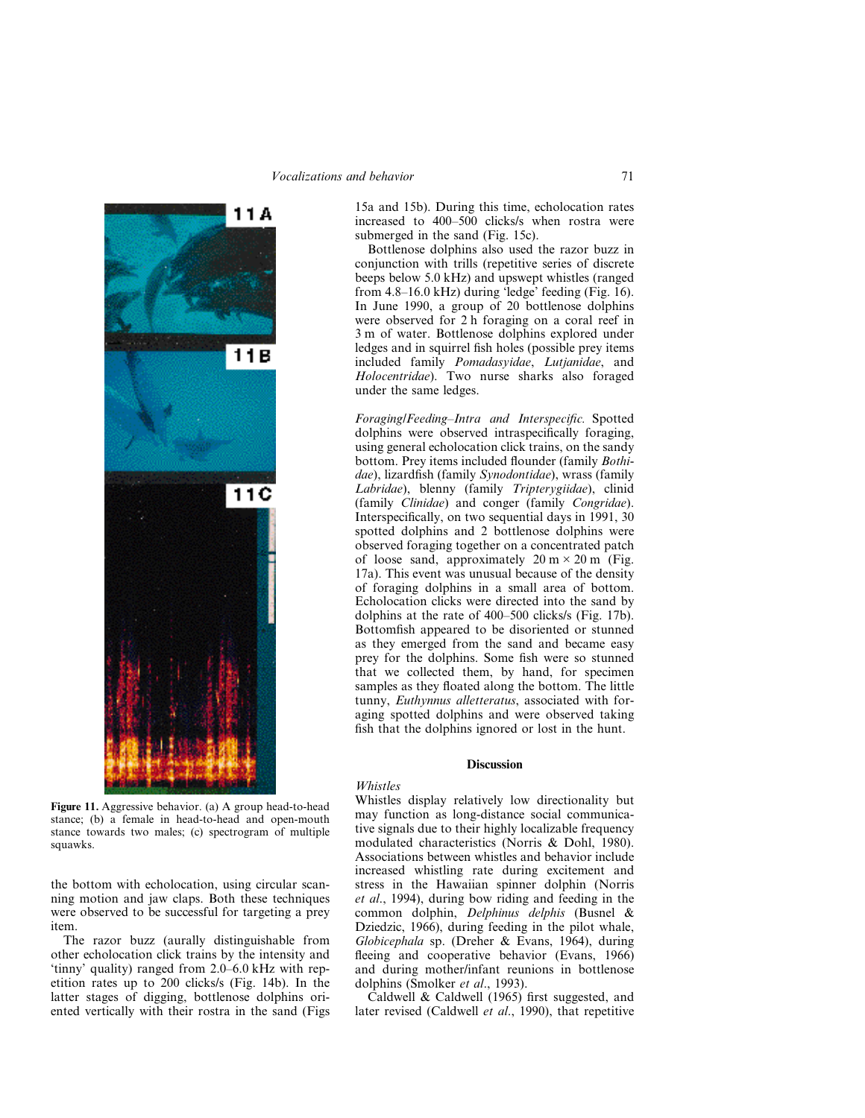

**Figure 11.** Aggressive behavior. (a) A group head-to-head stance; (b) a female in head-to-head and open-mouth stance towards two males; (c) spectrogram of multiple squawks.

the bottom with echolocation, using circular scanning motion and jaw claps. Both these techniques were observed to be successful for targeting a prey item.

The razor buzz (aurally distinguishable from other echolocation click trains by the intensity and 'tinny' quality) ranged from 2.0–6.0 kHz with repetition rates up to 200 clicks/s (Fig. 14b). In the latter stages of digging, bottlenose dolphins oriented vertically with their rostra in the sand (Figs

15a and 15b). During this time, echolocation rates increased to 400–500 clicks/s when rostra were submerged in the sand (Fig. 15c).

Bottlenose dolphins also used the razor buzz in conjunction with trills (repetitive series of discrete beeps below 5.0 kHz) and upswept whistles (ranged from 4.8–16.0 kHz) during 'ledge' feeding (Fig. 16). In June 1990, a group of 20 bottlenose dolphins were observed for 2 h foraging on a coral reef in 3 m of water. Bottlenose dolphins explored under ledges and in squirrel fish holes (possible prey items included family *Pomadasyidae*, *Lutjanidae*, and *Holocentridae*). Two nurse sharks also foraged under the same ledges.

*Foraging/Feeding–Intra and Interspecific.* Spotted dolphins were observed intraspecifically foraging, using general echolocation click trains, on the sandy bottom. Prey items included flounder (family *Bothidae*), lizardfish (family *Synodontidae*), wrass (family *Labridae*), blenny (family *Tripterygiidae*), clinid (family *Clinidae*) and conger (family *Congridae*). Interspecifically, on two sequential days in 1991, 30 spotted dolphins and 2 bottlenose dolphins were observed foraging together on a concentrated patch of loose sand, approximately  $20 \text{ m} \times 20 \text{ m}$  (Fig. 17a). This event was unusual because of the density of foraging dolphins in a small area of bottom. Echolocation clicks were directed into the sand by dolphins at the rate of 400–500 clicks/s (Fig. 17b). Bottomfish appeared to be disoriented or stunned as they emerged from the sand and became easy prey for the dolphins. Some fish were so stunned that we collected them, by hand, for specimen samples as they floated along the bottom. The little tunny, *Euthynnus alletteratus*, associated with foraging spotted dolphins and were observed taking fish that the dolphins ignored or lost in the hunt.

# **Discussion**

#### *Whistles*

Whistles display relatively low directionality but may function as long-distance social communicative signals due to their highly localizable frequency modulated characteristics (Norris & Dohl, 1980). Associations between whistles and behavior include increased whistling rate during excitement and stress in the Hawaiian spinner dolphin (Norris *et al*., 1994), during bow riding and feeding in the common dolphin, *Delphinus delphis* (Busnel & Dziedzic, 1966), during feeding in the pilot whale, *Globicephala* sp. (Dreher & Evans, 1964), during fleeing and cooperative behavior (Evans, 1966) and during mother/infant reunions in bottlenose dolphins (Smolker *et al*., 1993).

Caldwell & Caldwell (1965) first suggested, and later revised (Caldwell *et al*., 1990), that repetitive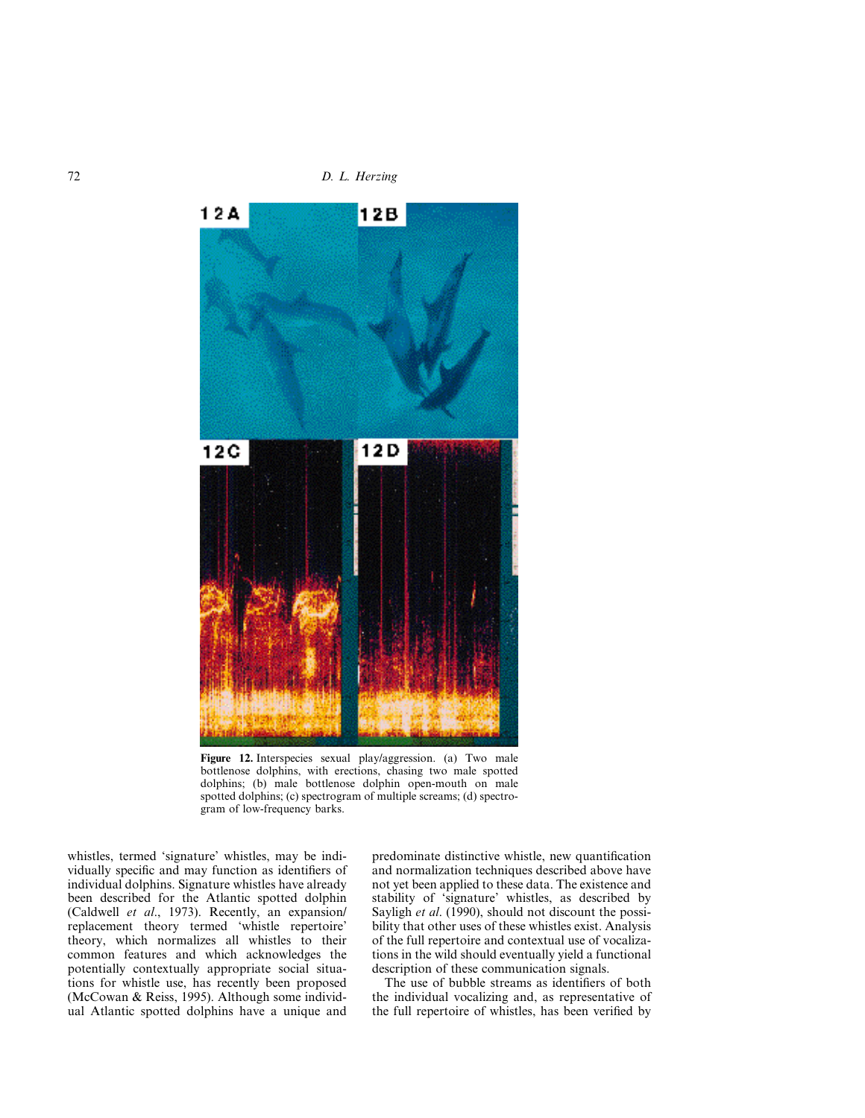

**Figure 12.** Interspecies sexual play/aggression. (a) Two male bottlenose dolphins, with erections, chasing two male spotted dolphins; (b) male bottlenose dolphin open-mouth on male spotted dolphins; (c) spectrogram of multiple screams; (d) spectrogram of low-frequency barks.

whistles, termed 'signature' whistles, may be individually specific and may function as identifiers of individual dolphins. Signature whistles have already been described for the Atlantic spotted dolphin (Caldwell *et al*., 1973). Recently, an expansion/ replacement theory termed 'whistle repertoire' theory, which normalizes all whistles to their common features and which acknowledges the potentially contextually appropriate social situations for whistle use, has recently been proposed (McCowan & Reiss, 1995). Although some individual Atlantic spotted dolphins have a unique and

predominate distinctive whistle, new quantification and normalization techniques described above have not yet been applied to these data. The existence and stability of 'signature' whistles, as described by Sayligh *et al*. (1990), should not discount the possibility that other uses of these whistles exist. Analysis of the full repertoire and contextual use of vocalizations in the wild should eventually yield a functional description of these communication signals.

The use of bubble streams as identifiers of both the individual vocalizing and, as representative of the full repertoire of whistles, has been verified by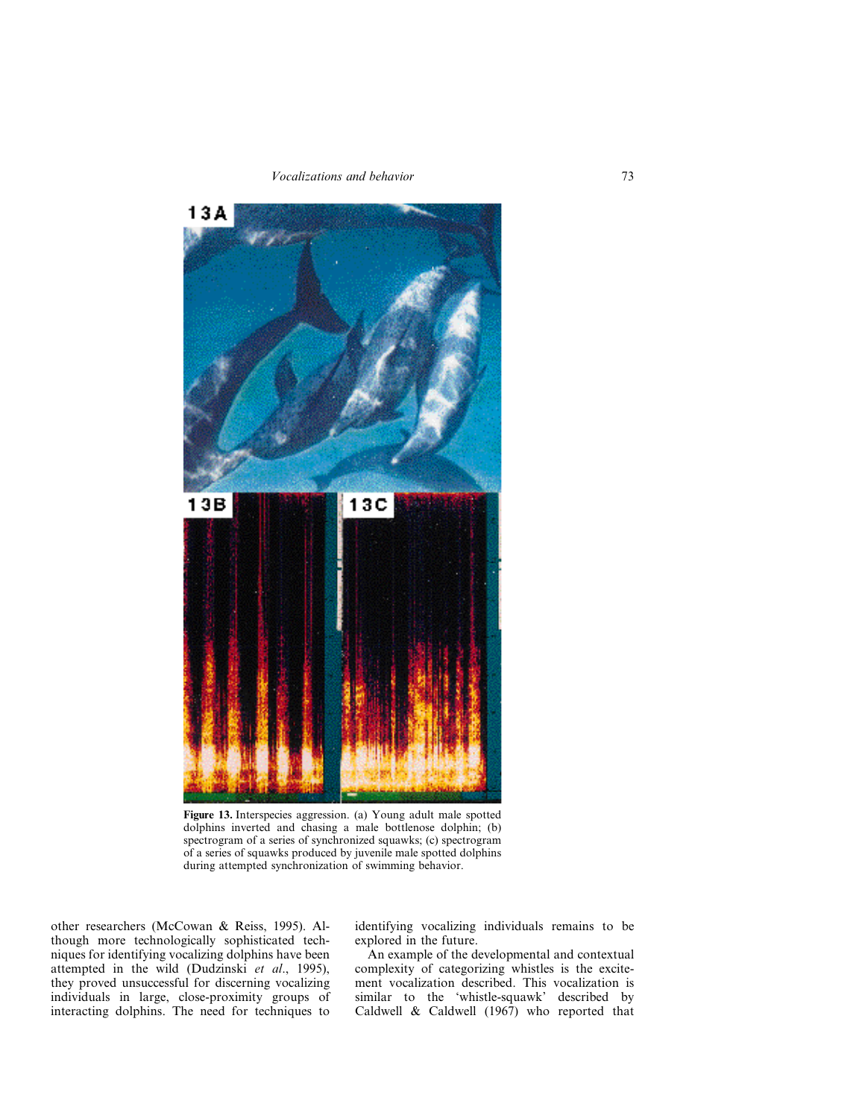

**Figure 13.** Interspecies aggression. (a) Young adult male spotted dolphins inverted and chasing a male bottlenose dolphin; (b) spectrogram of a series of synchronized squawks; (c) spectrogram of a series of squawks produced by juvenile male spotted dolphins during attempted synchronization of swimming behavior.

other researchers (McCowan & Reiss, 1995). Although more technologically sophisticated techniques for identifying vocalizing dolphins have been attempted in the wild (Dudzinski *et al*., 1995), they proved unsuccessful for discerning vocalizing individuals in large, close-proximity groups of interacting dolphins. The need for techniques to

identifying vocalizing individuals remains to be explored in the future.

An example of the developmental and contextual complexity of categorizing whistles is the excitement vocalization described. This vocalization is similar to the 'whistle-squawk' described by Caldwell & Caldwell (1967) who reported that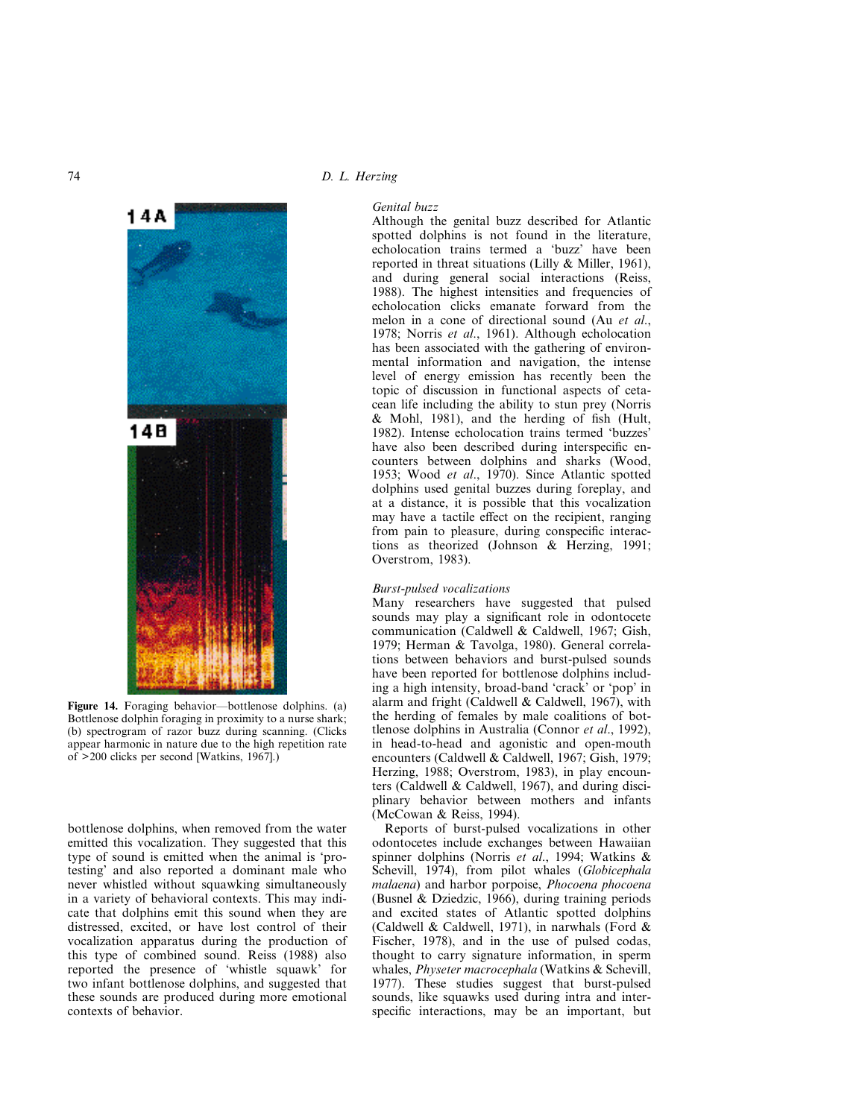

**Figure 14.** Foraging behavior—bottlenose dolphins. (a) Bottlenose dolphin foraging in proximity to a nurse shark; (b) spectrogram of razor buzz during scanning. (Clicks appear harmonic in nature due to the high repetition rate of >200 clicks per second [Watkins, 1967].)

bottlenose dolphins, when removed from the water emitted this vocalization. They suggested that this type of sound is emitted when the animal is 'protesting' and also reported a dominant male who never whistled without squawking simultaneously in a variety of behavioral contexts. This may indicate that dolphins emit this sound when they are distressed, excited, or have lost control of their vocalization apparatus during the production of this type of combined sound. Reiss (1988) also reported the presence of 'whistle squawk' for two infant bottlenose dolphins, and suggested that these sounds are produced during more emotional contexts of behavior.

# *Genital buzz*

Although the genital buzz described for Atlantic spotted dolphins is not found in the literature, echolocation trains termed a 'buzz' have been reported in threat situations (Lilly & Miller, 1961), and during general social interactions (Reiss, 1988). The highest intensities and frequencies of echolocation clicks emanate forward from the melon in a cone of directional sound (Au *et al*., 1978; Norris *et al*., 1961). Although echolocation has been associated with the gathering of environmental information and navigation, the intense level of energy emission has recently been the topic of discussion in functional aspects of cetacean life including the ability to stun prey (Norris & Mohl, 1981), and the herding of fish (Hult, 1982). Intense echolocation trains termed 'buzzes' have also been described during interspecific encounters between dolphins and sharks (Wood, 1953; Wood *et al*., 1970). Since Atlantic spotted dolphins used genital buzzes during foreplay, and at a distance, it is possible that this vocalization may have a tactile effect on the recipient, ranging from pain to pleasure, during conspecific interactions as theorized (Johnson & Herzing, 1991; Overstrom, 1983).

# *Burst-pulsed vocalizations*

Many researchers have suggested that pulsed sounds may play a significant role in odontocete communication (Caldwell & Caldwell, 1967; Gish, 1979; Herman & Tavolga, 1980). General correlations between behaviors and burst-pulsed sounds have been reported for bottlenose dolphins including a high intensity, broad-band 'crack' or 'pop' in alarm and fright (Caldwell & Caldwell, 1967), with the herding of females by male coalitions of bottlenose dolphins in Australia (Connor *et al*., 1992), in head-to-head and agonistic and open-mouth encounters (Caldwell & Caldwell, 1967; Gish, 1979; Herzing, 1988; Overstrom, 1983), in play encounters (Caldwell & Caldwell, 1967), and during disciplinary behavior between mothers and infants (McCowan & Reiss, 1994).

Reports of burst-pulsed vocalizations in other odontocetes include exchanges between Hawaiian spinner dolphins (Norris *et al*., 1994; Watkins & Schevill, 1974), from pilot whales (*Globicephala malaena*) and harbor porpoise, *Phocoena phocoena* (Busnel & Dziedzic, 1966), during training periods and excited states of Atlantic spotted dolphins (Caldwell & Caldwell, 1971), in narwhals (Ford  $\&$ Fischer, 1978), and in the use of pulsed codas, thought to carry signature information, in sperm whales, *Physeter macrocephala* (Watkins & Schevill, 1977). These studies suggest that burst-pulsed sounds, like squawks used during intra and interspecific interactions, may be an important, but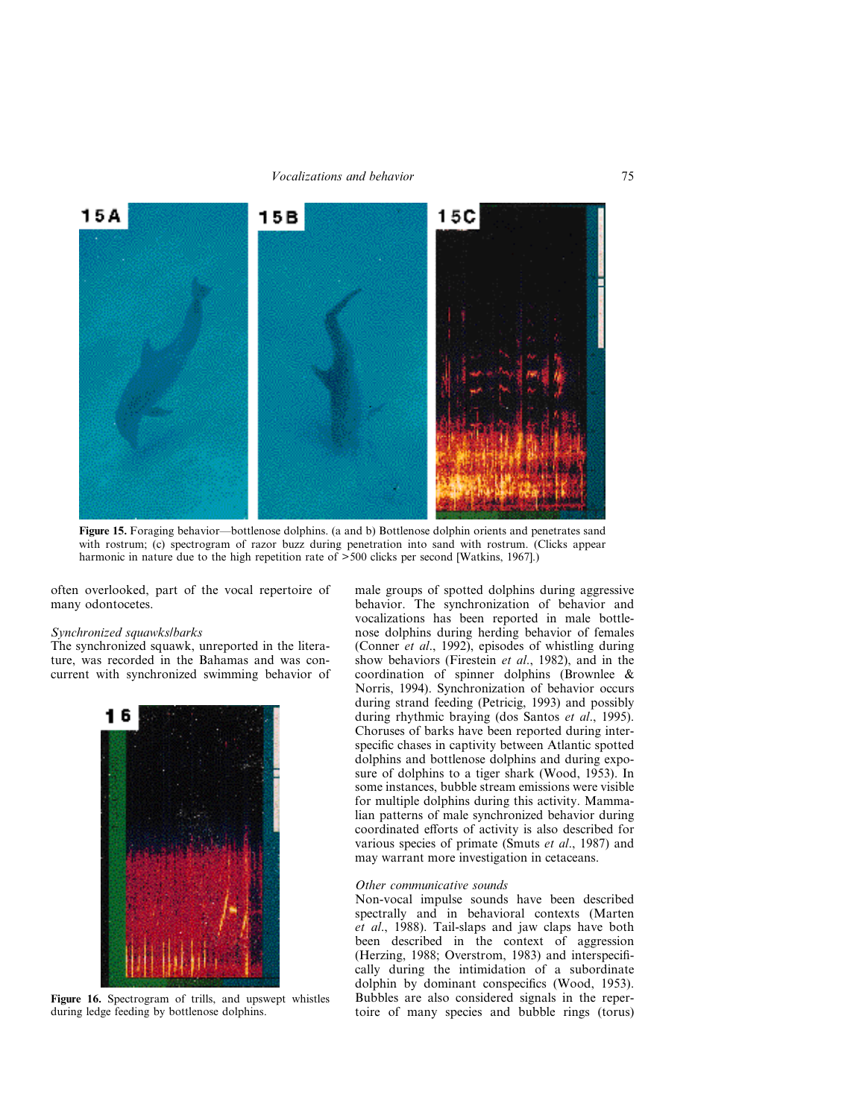

**Figure 15.** Foraging behavior—bottlenose dolphins. (a and b) Bottlenose dolphin orients and penetrates sand with rostrum; (c) spectrogram of razor buzz during penetration into sand with rostrum. (Clicks appear harmonic in nature due to the high repetition rate of  $\geq 500$  clicks per second [Watkins, 1967].)

often overlooked, part of the vocal repertoire of many odontocetes.

#### *Synchronized squawks/barks*

The synchronized squawk, unreported in the literature, was recorded in the Bahamas and was concurrent with synchronized swimming behavior of



**Figure 16.** Spectrogram of trills, and upswept whistles during ledge feeding by bottlenose dolphins.

male groups of spotted dolphins during aggressive behavior. The synchronization of behavior and vocalizations has been reported in male bottlenose dolphins during herding behavior of females (Conner *et al*., 1992), episodes of whistling during show behaviors (Firestein *et al*., 1982), and in the coordination of spinner dolphins (Brownlee & Norris, 1994). Synchronization of behavior occurs during strand feeding (Petricig, 1993) and possibly during rhythmic braying (dos Santos *et al*., 1995). Choruses of barks have been reported during interspecific chases in captivity between Atlantic spotted dolphins and bottlenose dolphins and during exposure of dolphins to a tiger shark (Wood, 1953). In some instances, bubble stream emissions were visible for multiple dolphins during this activity. Mammalian patterns of male synchronized behavior during coordinated efforts of activity is also described for various species of primate (Smuts *et al*., 1987) and may warrant more investigation in cetaceans.

## *Other communicative sounds*

Non-vocal impulse sounds have been described spectrally and in behavioral contexts (Marten *et al*., 1988). Tail-slaps and jaw claps have both been described in the context of aggression (Herzing, 1988; Overstrom, 1983) and interspecifically during the intimidation of a subordinate dolphin by dominant conspecifics (Wood, 1953). Bubbles are also considered signals in the repertoire of many species and bubble rings (torus)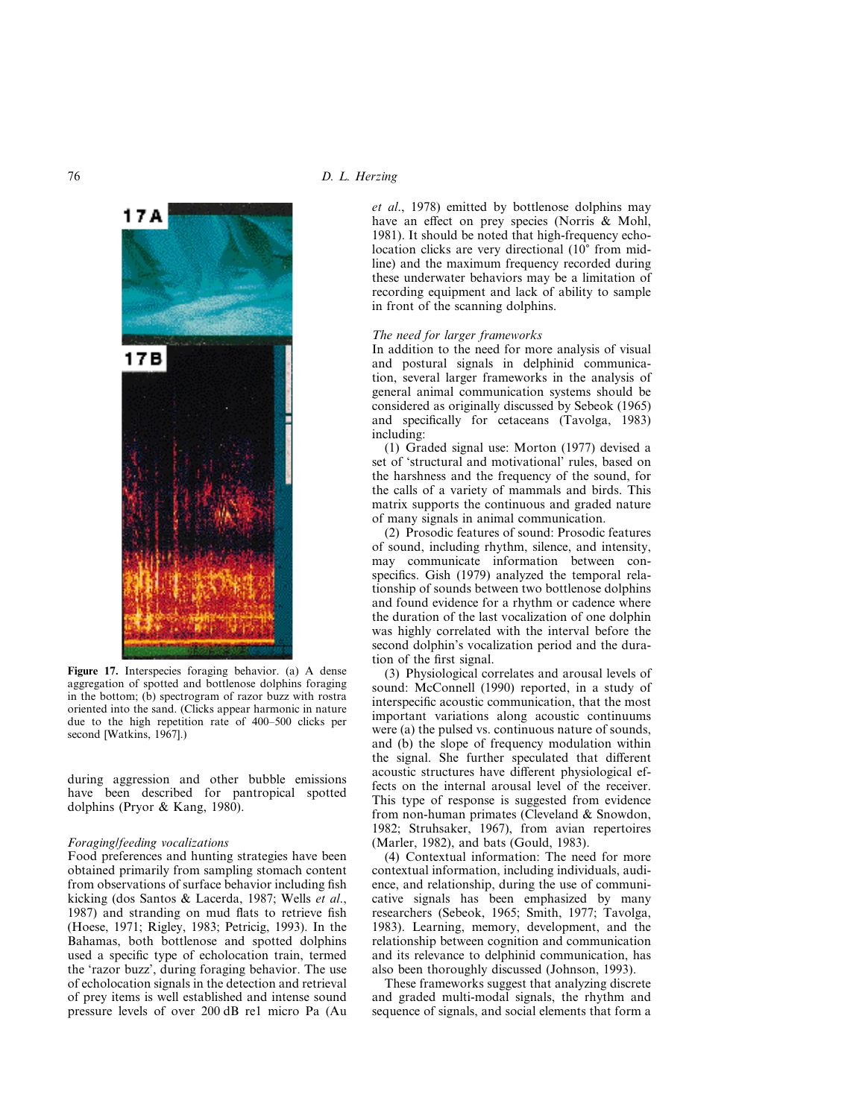

Figure 17. Interspecies foraging behavior. (a) A dense aggregation of spotted and bottlenose dolphins foraging in the bottom;  $(b)$  spectrogram of razor buzz with rostra oriented into the sand. (Clicks appear harmonic in nature due to the high repetition rate of 400–500 clicks per second [Watkins, 1967].)

during aggression and other bubble emissions have been described for pantropical spotted dolphins (Pryor & Kang, 1980).

# *Foraging/feeding vocalizations*

Food preferences and hunting strategies have been obtained primarily from sampling stomach content from observations of surface behavior including fish kicking (dos Santos & Lacerda, 1987; Wells *et al*., 1987) and stranding on mud flats to retrieve fish (Hoese, 1971; Rigley, 1983; Petricig, 1993). In the Bahamas, both bottlenose and spotted dolphins used a specific type of echolocation train, termed the 'razor buzz', during foraging behavior. The use of echolocation signals in the detection and retrieval of prey items is well established and intense sound pressure levels of over 200 dB re1 micro Pa (Au *et al*., 1978) emitted by bottlenose dolphins may have an effect on prey species (Norris & Mohl, 1981). It should be noted that high-frequency echolocation clicks are very directional  $(10^{\circ}$  from midline) and the maximum frequency recorded during these underwater behaviors may be a limitation of recording equipment and lack of ability to sample in front of the scanning dolphins.

# *The need for larger frameworks*

In addition to the need for more analysis of visual and postural signals in delphinid communication, several larger frameworks in the analysis of general animal communication systems should be considered as originally discussed by Sebeok (1965) and specifically for cetaceans (Tavolga, 1983) including:

(1) Graded signal use: Morton (1977) devised a set of 'structural and motivational' rules, based on the harshness and the frequency of the sound, for the calls of a variety of mammals and birds. This matrix supports the continuous and graded nature of many signals in animal communication.

(2) Prosodic features of sound: Prosodic features of sound, including rhythm, silence, and intensity, may communicate information between conspecifics. Gish (1979) analyzed the temporal relationship of sounds between two bottlenose dolphins and found evidence for a rhythm or cadence where the duration of the last vocalization of one dolphin was highly correlated with the interval before the second dolphin's vocalization period and the duration of the first signal.

(3) Physiological correlates and arousal levels of sound: McConnell (1990) reported, in a study of interspecific acoustic communication, that the most important variations along acoustic continuums were (a) the pulsed vs. continuous nature of sounds, and (b) the slope of frequency modulation within the signal. She further speculated that different acoustic structures have different physiological effects on the internal arousal level of the receiver. This type of response is suggested from evidence from non-human primates (Cleveland & Snowdon, 1982; Struhsaker, 1967), from avian repertoires (Marler, 1982), and bats (Gould, 1983).

(4) Contextual information: The need for more contextual information, including individuals, audience, and relationship, during the use of communicative signals has been emphasized by many researchers (Sebeok, 1965; Smith, 1977; Tavolga, 1983). Learning, memory, development, and the relationship between cognition and communication and its relevance to delphinid communication, has also been thoroughly discussed (Johnson, 1993).

These frameworks suggest that analyzing discrete and graded multi-modal signals, the rhythm and sequence of signals, and social elements that form a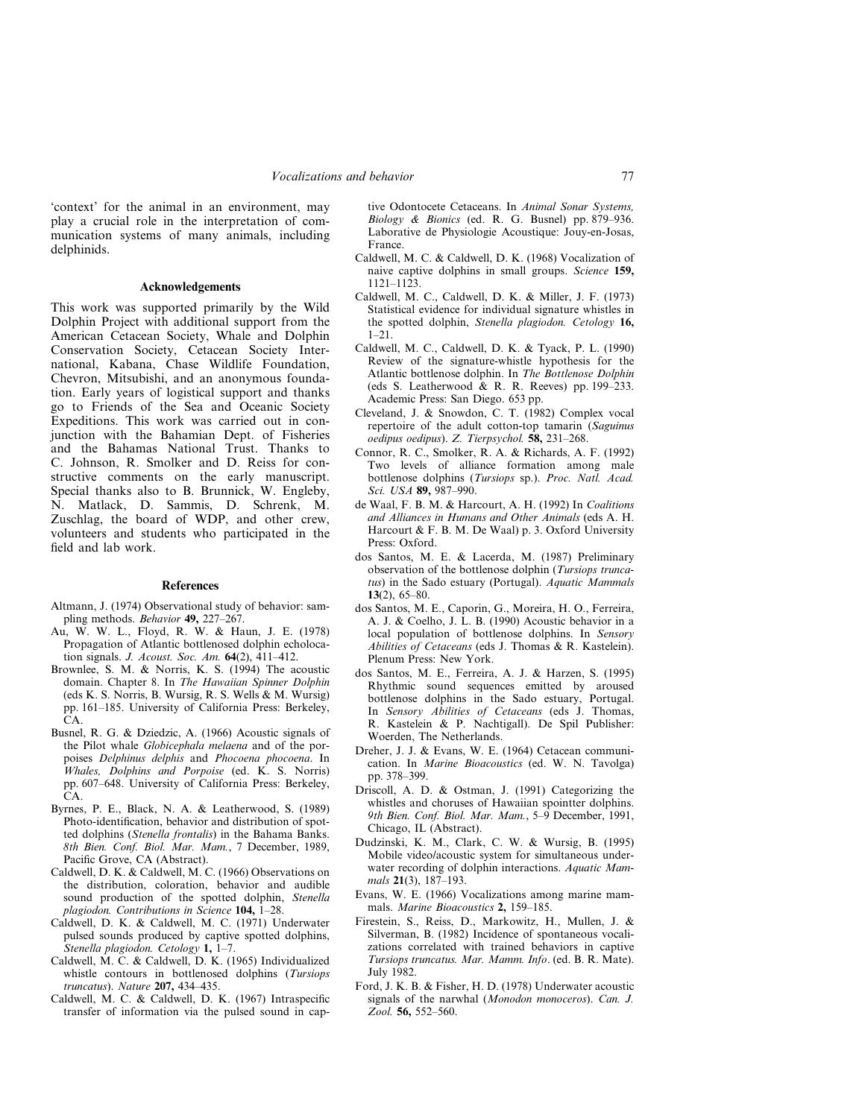'context' for the animal in an environment, may play a crucial role in the interpretation of communication systems of many animals, including delphinids.

#### **Acknowledgements**

This work was supported primarily by the Wild Dolphin Project with additional support from the American Cetacean Society, Whale and Dolphin Conservation Society, Cetacean Society International, Kabana, Chase Wildlife Foundation, Chevron, Mitsubishi, and an anonymous foundation. Early years of logistical support and thanks go to Friends of the Sea and Oceanic Society Expeditions. This work was carried out in conjunction with the Bahamian Dept. of Fisheries and the Bahamas National Trust. Thanks to C. Johnson, R. Smolker and D. Reiss for constructive comments on the early manuscript. Special thanks also to B. Brunnick, W. Engleby, N. Matlack, D. Sammis, D. Schrenk, M. Zuschlag, the board of WDP, and other crew, volunteers and students who participated in the field and lab work.

#### **References**

- Altmann, J. (1974) Observational study of behavior: sampling methods. *Behavior* **49,** 227–267.
- Au, W. W. L., Floyd, R. W. & Haun, J. E. (1978) Propagation of Atlantic bottlenosed dolphin echolocation signals. *J. Acoust. Soc. Am.* **64**(2), 411–412.
- Brownlee, S. M. & Norris, K. S. (1994) The acoustic domain. Chapter 8. In *The Hawaiian Spinner Dolphin* (eds K. S. Norris, B. Wursig, R. S. Wells & M. Wursig) pp. 161–185. University of California Press: Berkeley, CA.
- Busnel, R. G. & Dziedzic, A. (1966) Acoustic signals of the Pilot whale *Globicephala melaena* and of the porpoises *Delphinus delphis* and *Phocoena phocoena*. In *Whales, Dolphins and Porpoise* (ed. K. S. Norris) pp. 607–648. University of California Press: Berkeley, CA.
- Byrnes, P. E., Black, N. A. & Leatherwood, S. (1989) Photo-identification, behavior and distribution of spotted dolphins (*Stenella frontalis*) in the Bahama Banks. *8th Bien. Conf. Biol. Mar. Mam.*, 7 December, 1989, Pacific Grove, CA (Abstract).
- Caldwell, D. K. & Caldwell, M. C. (1966) Observations on the distribution, coloration, behavior and audible sound production of the spotted dolphin, *Stenella plagiodon. Contributions in Science* **104,** 1–28.
- Caldwell, D. K. & Caldwell, M. C. (1971) Underwater pulsed sounds produced by captive spotted dolphins, *Stenella plagiodon. Cetology* **1,** 1–7.
- Caldwell, M. C. & Caldwell, D. K. (1965) Individualized whistle contours in bottlenosed dolphins (*Tursiops truncatus*). *Nature* **207,** 434–435.
- Caldwell, M. C. & Caldwell, D. K. (1967) Intraspecific transfer of information via the pulsed sound in cap-

tive Odontocete Cetaceans. In *Animal Sonar Systems, Biology & Bionics* (ed. R. G. Busnel) pp. 879–936. Laborative de Physiologie Acoustique: Jouy-en-Josas, France.

- Caldwell, M. C. & Caldwell, D. K. (1968) Vocalization of naive captive dolphins in small groups. *Science* **159,** 1121–1123.
- Caldwell, M. C., Caldwell, D. K. & Miller, J. F. (1973) Statistical evidence for individual signature whistles in the spotted dolphin, *Stenella plagiodon. Cetology* **16,** 1–21.
- Caldwell, M. C., Caldwell, D. K. & Tyack, P. L. (1990) Review of the signature-whistle hypothesis for the Atlantic bottlenose dolphin. In *The Bottlenose Dolphin* (eds S. Leatherwood & R. R. Reeves) pp. 199–233. Academic Press: San Diego. 653 pp.
- Cleveland, J. & Snowdon, C. T. (1982) Complex vocal repertoire of the adult cotton-top tamarin (*Saguinus oedipus oedipus*). *Z. Tierpsychol.* **58,** 231–268.
- Connor, R. C., Smolker, R. A. & Richards, A. F. (1992) Two levels of alliance formation among male bottlenose dolphins (*Tursiops* sp.). *Proc. Natl. Acad. Sci. USA* **89,** 987–990.
- de Waal, F. B. M. & Harcourt, A. H. (1992) In *Coalitions and Alliances in Humans and Other Animals* (eds A. H. Harcourt & F. B. M. De Waal) p. 3. Oxford University Press: Oxford.
- dos Santos, M. E. & Lacerda, M. (1987) Preliminary observation of the bottlenose dolphin (*Tursiops truncatus*) in the Sado estuary (Portugal). *Aquatic Mammals* **13**(2), 65–80.
- dos Santos, M. E., Caporin, G., Moreira, H. O., Ferreira, A. J. & Coelho, J. L. B. (1990) Acoustic behavior in a local population of bottlenose dolphins. In *Sensory Abilities of Cetaceans* (eds J. Thomas & R. Kastelein). Plenum Press: New York.
- dos Santos, M. E., Ferreira, A. J. & Harzen, S. (1995) Rhythmic sound sequences emitted by aroused bottlenose dolphins in the Sado estuary, Portugal. In *Sensory Abilities of Cetaceans* (eds J. Thomas, R. Kastelein & P. Nachtigall). De Spil Publisher: Woerden, The Netherlands.
- Dreher, J. J. & Evans, W. E. (1964) Cetacean communication. In *Marine Bioacoustics* (ed. W. N. Tavolga) pp. 378–399.
- Driscoll, A. D. & Ostman, J. (1991) Categorizing the whistles and choruses of Hawaiian spointter dolphins. *9th Bien. Conf. Biol. Mar. Mam.*, 5–9 December, 1991, Chicago, IL (Abstract).
- Dudzinski, K. M., Clark, C. W. & Wursig, B. (1995) Mobile video/acoustic system for simultaneous underwater recording of dolphin interactions. *Aquatic Mammals* **21**(3), 187–193.
- Evans, W. E. (1966) Vocalizations among marine mammals. *Marine Bioacoustics* **2,** 159–185.
- Firestein, S., Reiss, D., Markowitz, H., Mullen, J. & Silverman, B. (1982) Incidence of spontaneous vocalizations correlated with trained behaviors in captive *Tursiops truncatus. Mar. Mamm. Info*. (ed. B. R. Mate). July 1982.
- Ford, J. K. B. & Fisher, H. D. (1978) Underwater acoustic signals of the narwhal (*Monodon monoceros*). *Can. J. Zool.* **56,** 552–560.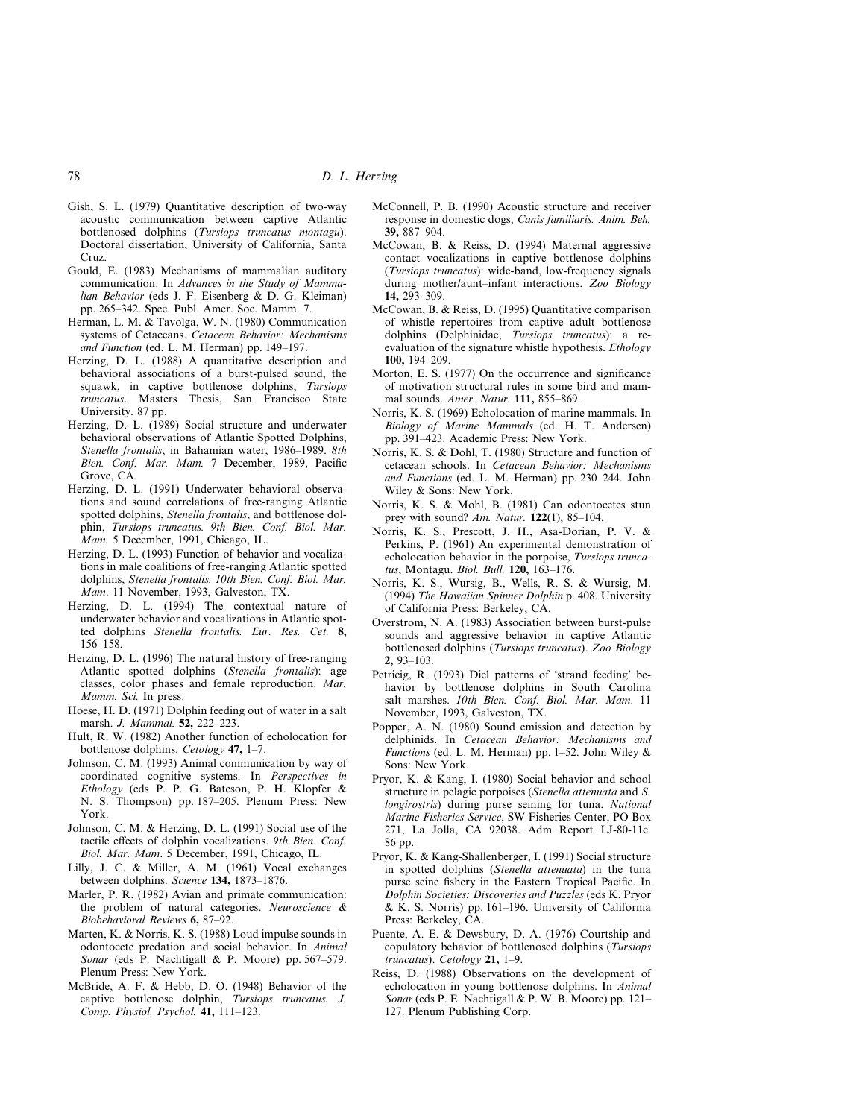- Gish, S. L. (1979) Quantitative description of two-way acoustic communication between captive Atlantic bottlenosed dolphins (*Tursiops truncatus montagu*). Doctoral dissertation, University of California, Santa Cruz.
- Gould, E. (1983) Mechanisms of mammalian auditory communication. In *Advances in the Study of Mammalian Behavior* (eds J. F. Eisenberg & D. G. Kleiman) pp. 265–342. Spec. Publ. Amer. Soc. Mamm. 7.
- Herman, L. M. & Tavolga, W. N. (1980) Communication systems of Cetaceans. *Cetacean Behavior: Mechanisms and Function* (ed. L. M. Herman) pp. 149–197.
- Herzing, D. L. (1988) A quantitative description and behavioral associations of a burst-pulsed sound, the squawk, in captive bottlenose dolphins, *Tursiops truncatus*. Masters Thesis, San Francisco State University. 87 pp.
- Herzing, D. L. (1989) Social structure and underwater behavioral observations of Atlantic Spotted Dolphins, *Stenella frontalis*, in Bahamian water, 1986–1989. *8th Bien. Conf. Mar. Mam.* 7 December, 1989, Pacific Grove, CA.
- Herzing, D. L. (1991) Underwater behavioral observations and sound correlations of free-ranging Atlantic spotted dolphins, *Stenella frontalis*, and bottlenose dolphin, *Tursiops truncatus. 9th Bien. Conf. Biol. Mar. Mam.* 5 December, 1991, Chicago, IL.
- Herzing, D. L. (1993) Function of behavior and vocalizations in male coalitions of free-ranging Atlantic spotted dolphins, *Stenella frontalis. 10th Bien. Conf. Biol. Mar. Mam*. 11 November, 1993, Galveston, TX.
- Herzing, D. L. (1994) The contextual nature of underwater behavior and vocalizations in Atlantic spotted dolphins *Stenella frontalis. Eur. Res. Cet.* **8,** 156–158.
- Herzing, D. L. (1996) The natural history of free-ranging Atlantic spotted dolphins (*Stenella frontalis*): age classes, color phases and female reproduction. *Mar. Mamm. Sci.* In press.
- Hoese, H. D. (1971) Dolphin feeding out of water in a salt marsh. *J. Mammal.* **52,** 222–223.
- Hult, R. W. (1982) Another function of echolocation for bottlenose dolphins. *Cetology* **47,** 1–7.
- Johnson, C. M. (1993) Animal communication by way of coordinated cognitive systems. In *Perspectives in Ethology* (eds P. P. G. Bateson, P. H. Klopfer & N. S. Thompson) pp. 187–205. Plenum Press: New York.
- Johnson, C. M. & Herzing, D. L. (1991) Social use of the tactile effects of dolphin vocalizations. *9th Bien. Conf. Biol. Mar. Mam*. 5 December, 1991, Chicago, IL.
- Lilly, J. C. & Miller, A. M. (1961) Vocal exchanges between dolphins. *Science* **134,** 1873–1876.
- Marler, P. R. (1982) Avian and primate communication: the problem of natural categories. *Neuroscience & Biobehavioral Reviews* **6,** 87–92.
- Marten, K. & Norris, K. S. (1988) Loud impulse sounds in odontocete predation and social behavior. In *Animal Sonar* (eds P. Nachtigall & P. Moore) pp. 567–579. Plenum Press: New York.
- McBride, A. F. & Hebb, D. O. (1948) Behavior of the captive bottlenose dolphin, *Tursiops truncatus. J. Comp. Physiol. Psychol.* **41,** 111–123.
- McConnell, P. B. (1990) Acoustic structure and receiver response in domestic dogs, *Canis familiaris. Anim. Beh.* **39,** 887–904.
- McCowan, B. & Reiss, D. (1994) Maternal aggressive contact vocalizations in captive bottlenose dolphins (*Tursiops truncatus*): wide-band, low-frequency signals during mother/aunt–infant interactions. *Zoo Biology* **14,** 293–309.
- McCowan, B. & Reiss, D. (1995) Quantitative comparison of whistle repertoires from captive adult bottlenose dolphins (Delphinidae, *Tursiops truncatus*): a reevaluation of the signature whistle hypothesis. *Ethology* **100,** 194–209.
- Morton, E. S. (1977) On the occurrence and significance of motivation structural rules in some bird and mammal sounds. *Amer. Natur.* **111,** 855–869.
- Norris, K. S. (1969) Echolocation of marine mammals. In *Biology of Marine Mammals* (ed. H. T. Andersen) pp. 391–423. Academic Press: New York.
- Norris, K. S. & Dohl, T. (1980) Structure and function of cetacean schools. In *Cetacean Behavior: Mechanisms and Functions* (ed. L. M. Herman) pp. 230–244. John Wiley & Sons: New York.
- Norris, K. S. & Mohl, B. (1981) Can odontocetes stun prey with sound? *Am. Natur.* **122**(1), 85–104.
- Norris, K. S., Prescott, J. H., Asa-Dorian, P. V. & Perkins, P. (1961) An experimental demonstration of echolocation behavior in the porpoise, *Tursiops truncatus*, Montagu. *Biol. Bull.* **120,** 163–176.
- Norris, K. S., Wursig, B., Wells, R. S. & Wursig, M. (1994) *The Hawaiian Spinner Dolphin* p. 408. University of California Press: Berkeley, CA.
- Overstrom, N. A. (1983) Association between burst-pulse sounds and aggressive behavior in captive Atlantic bottlenosed dolphins (*Tursiops truncatus*). *Zoo Biology* **2,** 93–103.
- Petricig, R. (1993) Diel patterns of 'strand feeding' behavior by bottlenose dolphins in South Carolina salt marshes. *10th Bien. Conf. Biol. Mar. Mam*. 11 November, 1993, Galveston, TX.
- Popper, A. N. (1980) Sound emission and detection by delphinids. In *Cetacean Behavior: Mechanisms and Functions* (ed. L. M. Herman) pp. 1–52. John Wiley & Sons: New York.
- Pryor, K. & Kang, I. (1980) Social behavior and school structure in pelagic porpoises (*Stenella attenuata* and *S. longirostris*) during purse seining for tuna. *National Marine Fisheries Service*, SW Fisheries Center, PO Box 271, La Jolla, CA 92038. Adm Report LJ-80-11c. 86 pp.
- Pryor, K. & Kang-Shallenberger, I. (1991) Social structure in spotted dolphins (*Stenella attenuata*) in the tuna purse seine fishery in the Eastern Tropical Pacific. In *Dolphin Societies: Discoveries and Puzzles* (eds K. Pryor & K. S. Norris) pp. 161–196. University of California Press: Berkeley, CA.
- Puente, A. E. & Dewsbury, D. A. (1976) Courtship and copulatory behavior of bottlenosed dolphins (*Tursiops truncatus*). *Cetology* **21,** 1–9.
- Reiss, D. (1988) Observations on the development of echolocation in young bottlenose dolphins. In *Animal Sonar* (eds P. E. Nachtigall & P. W. B. Moore) pp. 121– 127. Plenum Publishing Corp.